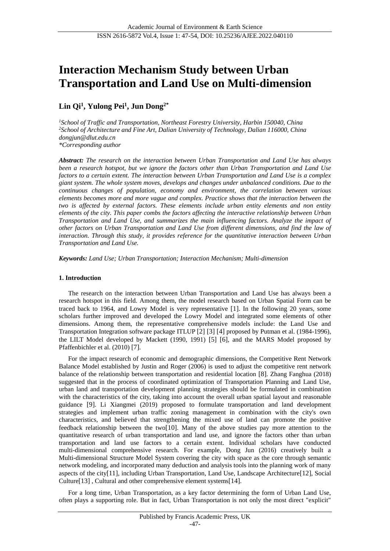# **Interaction Mechanism Study between Urban Transportation and Land Use on Multi-dimension**

## **Lin Qi<sup>1</sup> , Yulong Pei<sup>1</sup> , Jun Dong2\***

*<sup>1</sup>School of Traffic and Transportation, Northeast Forestry University, Harbin 150040, China <sup>2</sup>School of Architecture and Fine Art, Dalian University of Technology, Dalian 116000, China dongjun@dlut.edu.cn \*Corresponding author*

*Abstract: The research on the interaction between Urban Transportation and Land Use has always been a research hotspot, but we ignore the factors other than Urban Transportation and Land Use factors to a certain extent. The interaction between Urban Transportation and Land Use is a complex giant system. The whole system moves, develops and changes under unbalanced conditions. Due to the continuous changes of population, economy and environment, the correlation between various elements becomes more and more vague and complex. Practice shows that the interaction between the two is affected by external factors. These elements include urban entity elements and non entity elements of the city. This paper combs the factors affecting the interactive relationship between Urban Transportation and Land Use, and summarizes the main influencing factors. Analyze the impact of other factors on Urban Transportation and Land Use from different dimensions, and find the law of interaction. Through this study, it provides reference for the quantitative interaction between Urban Transportation and Land Use.*

*Keywords: Land Use; Urban Transportation; Interaction Mechanism; Multi-dimension*

#### **1. Introduction**

The research on the interaction between Urban Transportation and Land Use has always been a research hotspot in this field. Among them, the model research based on Urban Spatial Form can be traced back to 1964, and Lowry Model is very representative [1]. In the following 20 years, some scholars further improved and developed the Lowry Model and integrated some elements of other dimensions. Among them, the representative comprehensive models include: the Land Use and Transportation Integration software package ITLUP [2] [3] [4] proposed by Putman et al. (1984-1996), the LILT Model developed by Mackett (1990, 1991) [5] [6], and the MARS Model proposed by Pfaffenbichler et al. (2010) [7].

For the impact research of economic and demographic dimensions, the Competitive Rent Network Balance Model established by Justin and Roger (2006) is used to adjust the competitive rent network balance of the relationship between transportation and residential location [8]. Zhang Fanghua (2018) suggested that in the process of coordinated optimization of Transportation Planning and Land Use, urban land and transportation development planning strategies should be formulated in combination with the characteristics of the city, taking into account the overall urban spatial layout and reasonable guidance [9]. Li Xiangmei (2019) proposed to formulate transportation and land development strategies and implement urban traffic zoning management in combination with the city's own characteristics, and believed that strengthening the mixed use of land can promote the positive feedback relationship between the two[10]. Many of the above studies pay more attention to the quantitative research of urban transportation and land use, and ignore the factors other than urban transportation and land use factors to a certain extent. Individual scholars have conducted multi-dimensional comprehensive research. For example, Dong Jun (2016) creatively built a Multi-dimensional Structure Model System covering the city with space as the core through semantic network modeling, and incorporated many deduction and analysis tools into the planning work of many aspects of the city[11], including Urban Transportation, Land Use, Landscape Architecture[12], Social Culture[13] , Cultural and other comprehensive element systems[14].

For a long time, Urban Transportation, as a key factor determining the form of Urban Land Use, often plays a supporting role. But in fact, Urban Transportation is not only the most direct "explicit"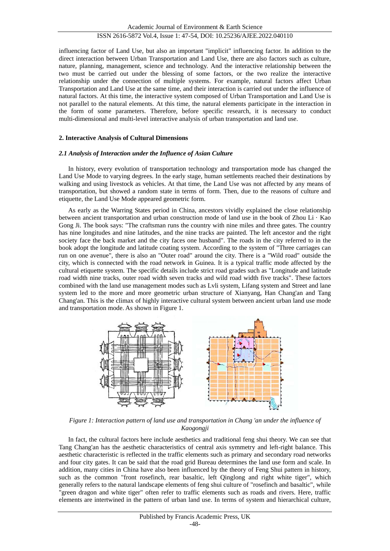influencing factor of Land Use, but also an important "implicit" influencing factor. In addition to the direct interaction between Urban Transportation and Land Use, there are also factors such as culture, nature, planning, management, science and technology. And the interactive relationship between the two must be carried out under the blessing of some factors, or the two realize the interactive relationship under the connection of multiple systems. For example, natural factors affect Urban Transportation and Land Use at the same time, and their interaction is carried out under the influence of natural factors. At this time, the interactive system composed of Urban Transportation and Land Use is not parallel to the natural elements. At this time, the natural elements participate in the interaction in the form of some parameters. Therefore, before specific research, it is necessary to conduct multi-dimensional and multi-level interactive analysis of urban transportation and land use.

#### **2. Interactive Analysis of Cultural Dimensions**

#### *2.1 Analysis of Interaction under the Influence of Asian Culture*

In history, every evolution of transportation technology and transportation mode has changed the Land Use Mode to varying degrees. In the early stage, human settlements reached their destinations by walking and using livestock as vehicles. At that time, the Land Use was not affected by any means of transportation, but showed a random state in terms of form. Then, due to the reasons of culture and etiquette, the Land Use Mode appeared geometric form.

As early as the Warring States period in China, ancestors vividly explained the close relationship between ancient transportation and urban construction mode of land use in the book of Zhou Li · Kao Gong Ji. The book says: "The craftsman runs the country with nine miles and three gates. The country has nine longitudes and nine latitudes, and the nine tracks are painted. The left ancestor and the right society face the back market and the city faces one husband". The roads in the city referred to in the book adopt the longitude and latitude coating system. According to the system of "Three carriages can run on one avenue", there is also an "Outer road" around the city. There is a "Wild road" outside the city, which is connected with the road network in Guinea. It is a typical traffic mode affected by the cultural etiquette system. The specific details include strict road grades such as "Longitude and latitude road width nine tracks, outer road width seven tracks and wild road width five tracks". These factors combined with the land use management modes such as Lvli system, Lifang system and Street and lane system led to the more and more geometric urban structure of Xianyang, Han Chang'an and Tang Chang'an. This is the climax of highly interactive cultural system between ancient urban land use mode and transportation mode. As shown in Figure 1.



*Figure 1: Interaction pattern of land use and transportation in Chang 'an under the influence of Kaogongji*

In fact, the cultural factors here include aesthetics and traditional feng shui theory. We can see that Tang Chang'an has the aesthetic characteristics of central axis symmetry and left-right balance. This aesthetic characteristic is reflected in the traffic elements such as primary and secondary road networks and four city gates. It can be said that the road grid Bureau determines the land use form and scale. In addition, many cities in China have also been influenced by the theory of Feng Shui pattern in history, such as the common "front rosefinch, rear basaltic, left Qinglong and right white tiger", which generally refers to the natural landscape elements of feng shui culture of "rosefinch and basaltic", while "green dragon and white tiger" often refer to traffic elements such as roads and rivers. Here, traffic elements are intertwined in the pattern of urban land use. In terms of system and hierarchical culture,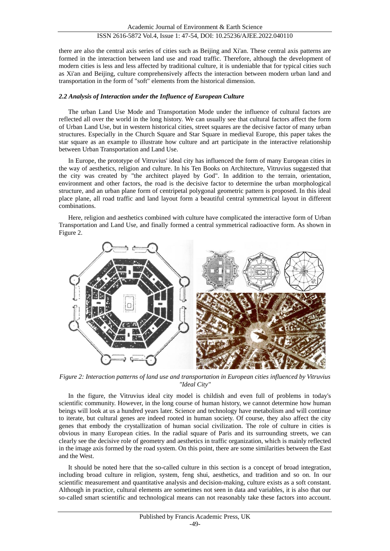there are also the central axis series of cities such as Beijing and Xi'an. These central axis patterns are formed in the interaction between land use and road traffic. Therefore, although the development of modern cities is less and less affected by traditional culture, it is undeniable that for typical cities such as Xi'an and Beijing, culture comprehensively affects the interaction between modern urban land and transportation in the form of "soft" elements from the historical dimension.

#### *2.2 Analysis of Interaction under the Influence of European Culture*

The urban Land Use Mode and Transportation Mode under the influence of cultural factors are reflected all over the world in the long history. We can usually see that cultural factors affect the form of Urban Land Use, but in western historical cities, street squares are the decisive factor of many urban structures. Especially in the Church Square and Star Square in medieval Europe, this paper takes the star square as an example to illustrate how culture and art participate in the interactive relationship between Urban Transportation and Land Use.

In Europe, the prototype of Vitruvius' ideal city has influenced the form of many European cities in the way of aesthetics, religion and culture. In his Ten Books on Architecture, Vitruvius suggested that the city was created by "the architect played by God". In addition to the terrain, orientation, environment and other factors, the road is the decisive factor to determine the urban morphological structure, and an urban plane form of centripetal polygonal geometric pattern is proposed. In this ideal place plane, all road traffic and land layout form a beautiful central symmetrical layout in different combinations.

Here, religion and aesthetics combined with culture have complicated the interactive form of Urban Transportation and Land Use, and finally formed a central symmetrical radioactive form. As shown in Figure 2.



*Figure 2: Interaction patterns of land use and transportation in European cities influenced by Vitruvius "Ideal City"*

In the figure, the Vitruvius ideal city model is childish and even full of problems in today's scientific community. However, in the long course of human history, we cannot determine how human beings will look at us a hundred years later. Science and technology have metabolism and will continue to iterate, but cultural genes are indeed rooted in human society. Of course, they also affect the city genes that embody the crystallization of human social civilization. The role of culture in cities is obvious in many European cities. In the radial square of Paris and its surrounding streets, we can clearly see the decisive role of geometry and aesthetics in traffic organization, which is mainly reflected in the image axis formed by the road system. On this point, there are some similarities between the East and the West.

It should be noted here that the so-called culture in this section is a concept of broad integration, including broad culture in religion, system, feng shui, aesthetics, and tradition and so on. In our scientific measurement and quantitative analysis and decision-making, culture exists as a soft constant. Although in practice, cultural elements are sometimes not seen in data and variables, it is also that our so-called smart scientific and technological means can not reasonably take these factors into account.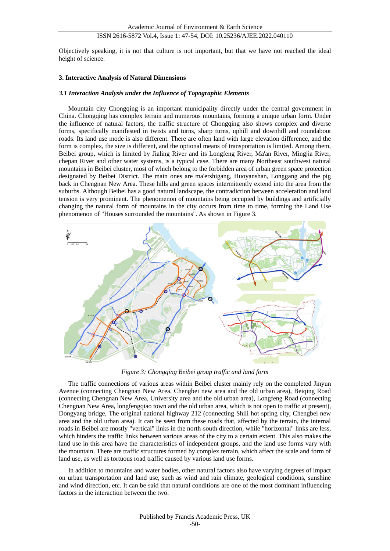Objectively speaking, it is not that culture is not important, but that we have not reached the ideal height of science.

#### **3. Interactive Analysis of Natural Dimensions**

#### *3.1 Interaction Analysis under the Influence of Topographic Elements*

Mountain city Chongqing is an important municipality directly under the central government in China. Chongqing has complex terrain and numerous mountains, forming a unique urban form. Under the influence of natural factors, the traffic structure of Chongqing also shows complex and diverse forms, specifically manifested in twists and turns, sharp turns, uphill and downhill and roundabout roads. Its land use mode is also different. There are often land with large elevation difference, and the form is complex, the size is different, and the optional means of transportation is limited. Among them, Beibei group, which is limited by Jialing River and its Longfeng River, Ma'an River, Mingjia River, chepan River and other water systems, is a typical case. There are many Northeast southwest natural mountains in Beibei cluster, most of which belong to the forbidden area of urban green space protection designated by Beibei District. The main ones are ma'ershigang, Huoyanshan, Longgang and the pig back in Chengnan New Area. These hills and green spaces intermittently extend into the area from the suburbs. Although Beibei has a good natural landscape, the contradiction between acceleration and land tension is very prominent. The phenomenon of mountains being occupied by buildings and artificially changing the natural form of mountains in the city occurs from time to time, forming the Land Use phenomenon of "Houses surrounded the mountains". As shown in Figure 3.



*Figure 3: Chongqing Beibei group traffic and land form*

The traffic connections of various areas within Beibei cluster mainly rely on the completed Jinyun Avenue (connecting Chengnan New Area, Chengbei new area and the old urban area), Beiqing Road (connecting Chengnan New Area, University area and the old urban area), Longfeng Road (connecting Chengnan New Area, longfengqiao town and the old urban area, which is not open to traffic at present), Dongyang bridge, The original national highway 212 (connecting Shili hot spring city, Chengbei new area and the old urban area). It can be seen from these roads that, affected by the terrain, the internal roads in Beibei are mostly "vertical" links in the north-south direction, while "horizontal" links are less, which hinders the traffic links between various areas of the city to a certain extent. This also makes the land use in this area have the characteristics of independent groups, and the land use forms vary with the mountain. There are traffic structures formed by complex terrain, which affect the scale and form of land use, as well as tortuous road traffic caused by various land use forms.

In addition to mountains and water bodies, other natural factors also have varying degrees of impact on urban transportation and land use, such as wind and rain climate, geological conditions, sunshine and wind direction, etc. It can be said that natural conditions are one of the most dominant influencing factors in the interaction between the two.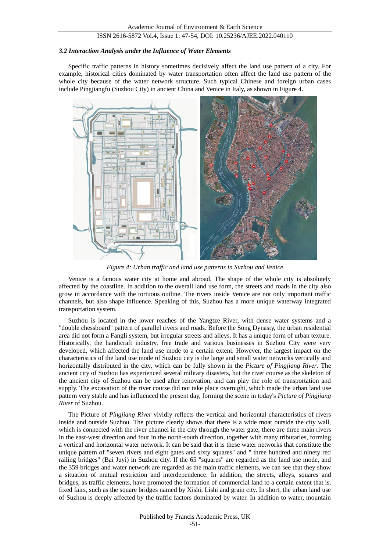#### *3.2 Interaction Analysis under the Influence of Water Elements*

Specific traffic patterns in history sometimes decisively affect the land use pattern of a city. For example, historical cities dominated by water transportation often affect the land use pattern of the whole city because of the water network structure. Such typical Chinese and foreign urban cases include Pingjiangfu (Suzhou City) in ancient China and Venice in Italy, as shown in Figure 4.



*Figure 4: Urban traffic and land use patterns in Suzhou and Venice*

Venice is a famous water city at home and abroad. The shape of the whole city is absolutely affected by the coastline. In addition to the overall land use form, the streets and roads in the city also grow in accordance with the tortuous outline. The rivers inside Venice are not only important traffic channels, but also shape influence. Speaking of this, Suzhou has a more unique waterway integrated transportation system.

Suzhou is located in the lower reaches of the Yangtze River, with dense water systems and a "double chessboard" pattern of parallel rivers and roads. Before the Song Dynasty, the urban residential area did not form a Fangli system, but irregular streets and alleys. It has a unique form of urban texture. Historically, the handicraft industry, free trade and various businesses in Suzhou City were very developed, which affected the land use mode to a certain extent. However, the largest impact on the characteristics of the land use mode of Suzhou city is the large and small water networks vertically and horizontally distributed in the city, which can be fully shown in the *Picture of Pingjiang River*. The ancient city of Suzhou has experienced several military disasters, but the river course as the skeleton of the ancient city of Suzhou can be used after renovation, and can play the role of transportation and supply. The excavation of the river course did not take place overnight, which made the urban land use pattern very stable and has influenced the present day, forming the scene in today's *Picture of Pingjiang River* of Suzhou.

The Picture of *Pingjiang River* vividly reflects the vertical and horizontal characteristics of rivers inside and outside Suzhou. The picture clearly shows that there is a wide moat outside the city wall, which is connected with the river channel in the city through the water gate; there are three main rivers in the east-west direction and four in the north-south direction, together with many tributaries, forming a vertical and horizontal water network. It can be said that it is these water networks that constitute the unique pattern of "seven rivers and eight gates and sixty squares" and " three hundred and ninety red railing bridges" (Bai Juyi) in Suzhou city. If the 65 "squares" are regarded as the land use mode, and the 359 bridges and water network are regarded as the main traffic elements, we can see that they show a situation of mutual restriction and interdependence. In addition, the streets, alleys, squares and bridges, as traffic elements, have promoted the formation of commercial land to a certain extent that is, fixed fairs, such as the square bridges named by Xishi, Lishi and grain city. In short, the urban land use of Suzhou is deeply affected by the traffic factors dominated by water. In addition to water, mountain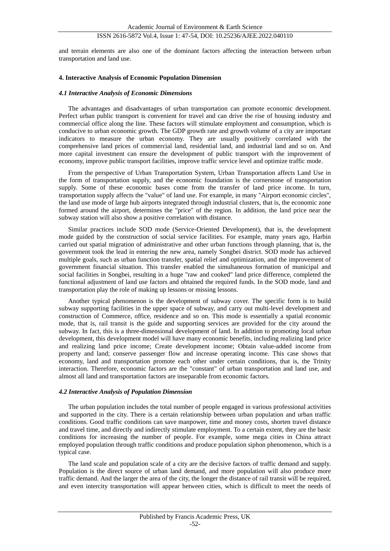and terrain elements are also one of the dominant factors affecting the interaction between urban transportation and land use.

#### **4. Interactive Analysis of Economic Population Dimension**

#### *4.1 Interactive Analysis of Economic Dimensions*

The advantages and disadvantages of urban transportation can promote economic development. Perfect urban public transport is convenient for travel and can drive the rise of housing industry and commercial office along the line. These factors will stimulate employment and consumption, which is conducive to urban economic growth. The GDP growth rate and growth volume of a city are important indicators to measure the urban economy. They are usually positively correlated with the comprehensive land prices of commercial land, residential land, and industrial land and so on. And more capital investment can ensure the development of public transport with the improvement of economy, improve public transport facilities, improve traffic service level and optimize traffic mode.

From the perspective of Urban Transportation System, Urban Transportation affects Land Use in the form of transportation supply, and the economic foundation is the cornerstone of transportation supply. Some of these economic bases come from the transfer of land price income. In turn, transportation supply affects the "value" of land use. For example, in many "Airport economic circles", the land use mode of large hub airports integrated through industrial clusters, that is, the economic zone formed around the airport, determines the "price" of the region. In addition, the land price near the subway station will also show a positive correlation with distance.

Similar practices include SOD mode (Service-Oriented Development), that is, the development mode guided by the construction of social service facilities. For example, many years ago, Harbin carried out spatial migration of administrative and other urban functions through planning, that is, the government took the lead in entering the new area, namely Songbei district. SOD mode has achieved multiple goals, such as urban function transfer, spatial relief and optimization, and the improvement of government financial situation. This transfer enabled the simultaneous formation of municipal and social facilities in Songbei, resulting in a huge "raw and cooked" land price difference, completed the functional adjustment of land use factors and obtained the required funds. In the SOD mode, land and transportation play the role of making up lessons or missing lessons.

Another typical phenomenon is the development of subway cover. The specific form is to build subway supporting facilities in the upper space of subway, and carry out multi-level development and construction of Commerce, office, residence and so on. This mode is essentially a spatial economic mode, that is, rail transit is the guide and supporting services are provided for the city around the subway. In fact, this is a three-dimensional development of land. In addition to promoting local urban development, this development model will have many economic benefits, including realizing land price and realizing land price income; Create development income; Obtain value-added income from property and land; conserve passenger flow and increase operating income. This case shows that economy, land and transportation promote each other under certain conditions, that is, the Trinity interaction. Therefore, economic factors are the "constant" of urban transportation and land use, and almost all land and transportation factors are inseparable from economic factors.

#### *4.2 Interactive Analysis of Population Dimension*

The urban population includes the total number of people engaged in various professional activities and supported in the city. There is a certain relationship between urban population and urban traffic conditions. Good traffic conditions can save manpower, time and money costs, shorten travel distance and travel time, and directly and indirectly stimulate employment. To a certain extent, they are the basic conditions for increasing the number of people. For example, some mega cities in China attract employed population through traffic conditions and produce population siphon phenomenon, which is a typical case.

The land scale and population scale of a city are the decisive factors of traffic demand and supply. Population is the direct source of urban land demand, and more population will also produce more traffic demand. And the larger the area of the city, the longer the distance of rail transit will be required, and even intercity transportation will appear between cities, which is difficult to meet the needs of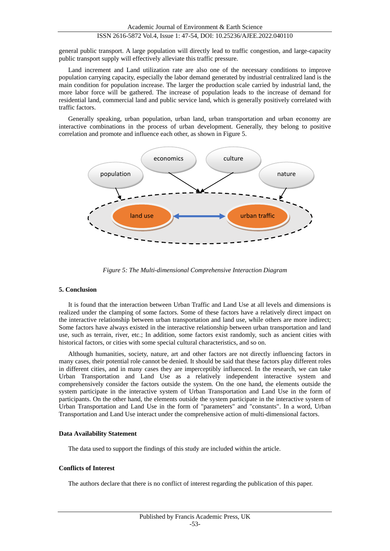general public transport. A large population will directly lead to traffic congestion, and large-capacity public transport supply will effectively alleviate this traffic pressure.

Land increment and Land utilization rate are also one of the necessary conditions to improve population carrying capacity, especially the labor demand generated by industrial centralized land is the main condition for population increase. The larger the production scale carried by industrial land, the more labor force will be gathered. The increase of population leads to the increase of demand for residential land, commercial land and public service land, which is generally positively correlated with traffic factors.

Generally speaking, urban population, urban land, urban transportation and urban economy are interactive combinations in the process of urban development. Generally, they belong to positive correlation and promote and influence each other, as shown in Figure 5.



*Figure 5: The Multi-dimensional Comprehensive Interaction Diagram*

#### **5. Conclusion**

It is found that the interaction between Urban Traffic and Land Use at all levels and dimensions is realized under the clamping of some factors. Some of these factors have a relatively direct impact on the interactive relationship between urban transportation and land use, while others are more indirect; Some factors have always existed in the interactive relationship between urban transportation and land use, such as terrain, river, etc.; In addition, some factors exist randomly, such as ancient cities with historical factors, or cities with some special cultural characteristics, and so on.

Although humanities, society, nature, art and other factors are not directly influencing factors in many cases, their potential role cannot be denied. It should be said that these factors play different roles in different cities, and in many cases they are imperceptibly influenced. In the research, we can take Urban Transportation and Land Use as a relatively independent interactive system and comprehensively consider the factors outside the system. On the one hand, the elements outside the system participate in the interactive system of Urban Transportation and Land Use in the form of participants. On the other hand, the elements outside the system participate in the interactive system of Urban Transportation and Land Use in the form of "parameters" and "constants". In a word, Urban Transportation and Land Use interact under the comprehensive action of multi-dimensional factors.

#### **Data Availability Statement**

The data used to support the findings of this study are included within the article.

#### **Conflicts of Interest**

The authors declare that there is no conflict of interest regarding the publication of this paper.